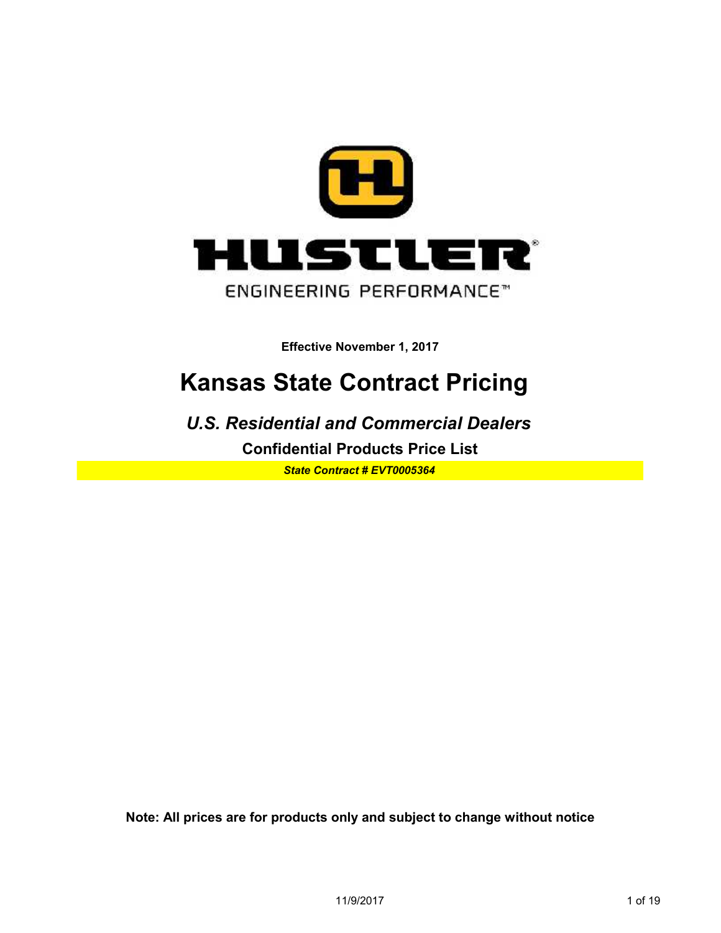

### **Kansas State Contract Pricing**

**Confidential Products Price List** *U.S. Residential and Commercial Dealers*

*State Contract # EVT0005364*

**Note: All prices are for products only and subject to change without notice**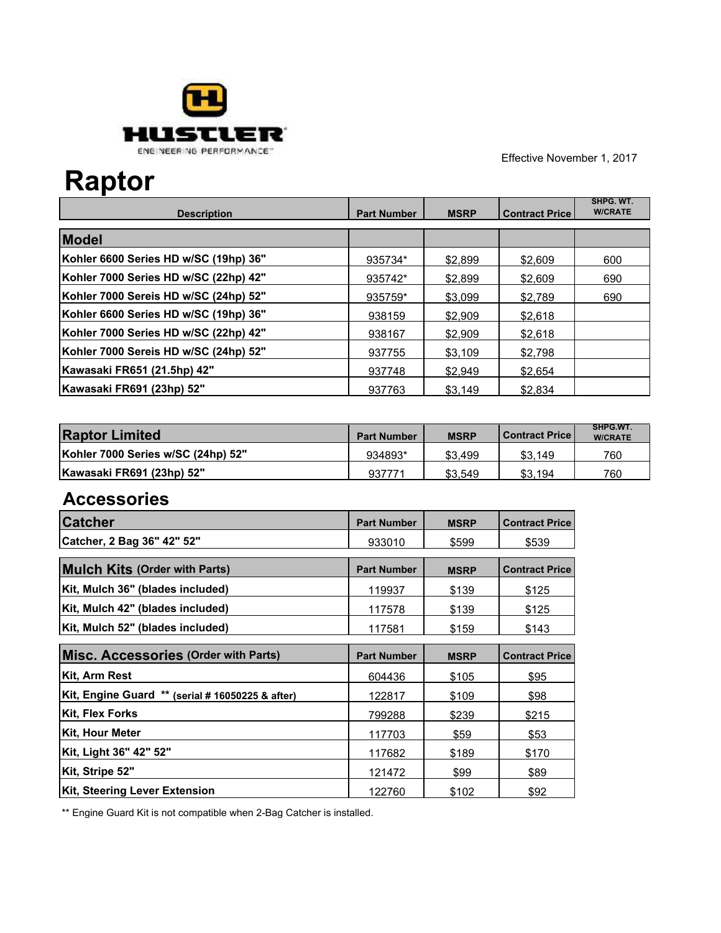

## **Raptor**

| <b>Description</b>                    | <b>Part Number</b> | <b>MSRP</b> | <b>Contract Price</b> | SHPG. WT.<br><b>W/CRATE</b> |
|---------------------------------------|--------------------|-------------|-----------------------|-----------------------------|
| <b>Model</b>                          |                    |             |                       |                             |
| Kohler 6600 Series HD w/SC (19hp) 36" | 935734*            | \$2.899     | \$2.609               | 600                         |
| Kohler 7000 Series HD w/SC (22hp) 42" | 935742*            | \$2,899     | \$2.609               | 690                         |
| Kohler 7000 Sereis HD w/SC (24hp) 52" | 935759*            | \$3.099     | \$2.789               | 690                         |
| Kohler 6600 Series HD w/SC (19hp) 36" | 938159             | \$2.909     | \$2.618               |                             |
| Kohler 7000 Series HD w/SC (22hp) 42" | 938167             | \$2.909     | \$2.618               |                             |
| Kohler 7000 Sereis HD w/SC (24hp) 52" | 937755             | \$3.109     | \$2.798               |                             |
| Kawasaki FR651 (21.5hp) 42"           | 937748             | \$2.949     | \$2.654               |                             |
| Kawasaki FR691 (23hp) 52"             | 937763             | \$3,149     | \$2.834               |                             |

| <b>Raptor Limited</b>              | <b>Part Number</b> | <b>MSRP</b> | l Contract Price l | SHPG.WT.<br><b>W/CRATE</b> |
|------------------------------------|--------------------|-------------|--------------------|----------------------------|
| Kohler 7000 Series w/SC (24hp) 52" | 934893*            | \$3.499     | \$3.149            | 760                        |
| Kawasaki FR691 (23hp) 52"          | 937771             | \$3.549     | \$3.194            | 760                        |

### **Accessories**

| <b>Catcher</b>                                   | <b>Part Number</b> | <b>MSRP</b> | <b>Contract Price</b> |
|--------------------------------------------------|--------------------|-------------|-----------------------|
| Catcher, 2 Bag 36" 42" 52"                       | 933010             | \$599       | \$539                 |
| <b>Mulch Kits (Order with Parts)</b>             | <b>Part Number</b> | <b>MSRP</b> | <b>Contract Price</b> |
| Kit, Mulch 36" (blades included)                 | 119937             | \$139       | \$125                 |
| Kit, Mulch 42" (blades included)                 | 117578             | \$139       | \$125                 |
| Kit, Mulch 52" (blades included)                 | 117581             | \$159       | \$143                 |
| Misc. Accessories (Order with Parts)             | <b>Part Number</b> | <b>MSRP</b> | <b>Contract Price</b> |
| Kit, Arm Rest                                    | 604436             | \$105       | \$95                  |
| Kit, Engine Guard ** (serial # 16050225 & after) | 122817             | \$109       | \$98                  |
| <b>Kit, Flex Forks</b>                           | 799288             | \$239       | \$215                 |
| <b>Kit, Hour Meter</b>                           | 117703             | \$59        | \$53                  |
| Kit, Light 36" 42" 52"                           | 117682             | \$189       | \$170                 |
| Kit, Stripe 52"                                  | 121472             | \$99        | \$89                  |
| <b>Kit, Steering Lever Extension</b>             | 122760             | \$102       | \$92                  |

\*\* Engine Guard Kit is not compatible when 2-Bag Catcher is installed.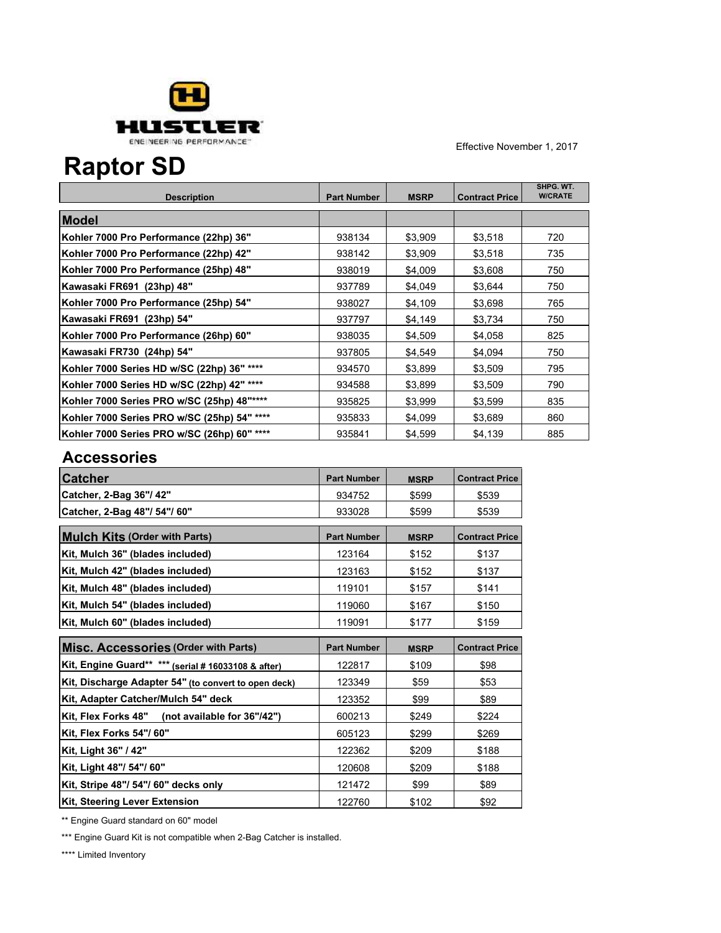

## **Raptor SD**

| <b>Description</b>                          | <b>Part Number</b> | <b>MSRP</b> | <b>Contract Price</b> | SHPG. WT.<br><b>W/CRATE</b> |
|---------------------------------------------|--------------------|-------------|-----------------------|-----------------------------|
| Model                                       |                    |             |                       |                             |
| Kohler 7000 Pro Performance (22hp) 36"      | 938134             | \$3,909     | \$3,518               | 720                         |
| Kohler 7000 Pro Performance (22hp) 42"      | 938142             | \$3,909     | \$3,518               | 735                         |
| Kohler 7000 Pro Performance (25hp) 48"      | 938019             | \$4,009     | \$3,608               | 750                         |
| Kawasaki FR691  (23hp) 48"                  | 937789             | \$4,049     | \$3,644               | 750                         |
| Kohler 7000 Pro Performance (25hp) 54"      | 938027             | \$4,109     | \$3,698               | 765                         |
| Kawasaki FR691 (23hp) 54"                   | 937797             | \$4,149     | \$3,734               | 750                         |
| Kohler 7000 Pro Performance (26hp) 60"      | 938035             | \$4,509     | \$4,058               | 825                         |
| Kawasaki FR730  (24hp) 54"                  | 937805             | \$4,549     | \$4,094               | 750                         |
| Kohler 7000 Series HD w/SC (22hp) 36" ****  | 934570             | \$3,899     | \$3,509               | 795                         |
| Kohler 7000 Series HD w/SC (22hp) 42" ****  | 934588             | \$3,899     | \$3,509               | 790                         |
| Kohler 7000 Series PRO w/SC (25hp) 48"****  | 935825             | \$3,999     | \$3,599               | 835                         |
| Kohler 7000 Series PRO w/SC (25hp) 54" **** | 935833             | \$4,099     | \$3,689               | 860                         |
| Kohler 7000 Series PRO w/SC (26hp) 60" **** | 935841             | \$4.599     | \$4,139               | 885                         |

#### **Accessories**

| <b>Catcher</b>                                       | <b>Part Number</b> | <b>MSRP</b> | <b>Contract Price</b> |
|------------------------------------------------------|--------------------|-------------|-----------------------|
| Catcher, 2-Bag 36"/ 42"                              | 934752             | \$599       | \$539                 |
| Catcher, 2-Bag 48"/ 54"/ 60"                         | 933028             | \$599       | \$539                 |
| <b>Mulch Kits (Order with Parts)</b>                 | <b>Part Number</b> | <b>MSRP</b> | <b>Contract Price</b> |
| Kit, Mulch 36" (blades included)                     | 123164             | \$152       | \$137                 |
| Kit, Mulch 42" (blades included)                     | 123163             | \$152       | \$137                 |
| Kit, Mulch 48" (blades included)                     | 119101             | \$157       | \$141                 |
| Kit, Mulch 54" (blades included)                     | 119060             | \$167       | \$150                 |
| Kit, Mulch 60" (blades included)                     | 119091             | \$177       | \$159                 |
| <b>Misc. Accessories (Order with Parts)</b>          | <b>Part Number</b> | <b>MSRP</b> | <b>Contract Price</b> |
| Kit, Engine Guard** *** (serial # 16033108 & after)  | 122817             | \$109       | \$98                  |
| Kit, Discharge Adapter 54" (to convert to open deck) | 123349             | \$59        | \$53                  |
| Kit, Adapter Catcher/Mulch 54" deck                  | 123352             | \$99        | \$89                  |
| Kit, Flex Forks 48" (not available for 36"/42")      | 600213             | \$249       | \$224                 |
| Kit, Flex Forks 54''/ 60''                           | 605123             | \$299       | \$269                 |
| Kit, Light 36" / 42"                                 | 122362             | \$209       | \$188                 |
| Kit, Light 48"/ 54"/ 60"                             | 120608             | \$209       | \$188                 |
| Kit, Stripe 48"/ 54"/ 60" decks only                 | 121472             | \$99        | \$89                  |
| Kit, Steering Lever Extension                        |                    |             |                       |

\*\* Engine Guard standard on 60" model

\*\*\* Engine Guard Kit is not compatible when 2-Bag Catcher is installed.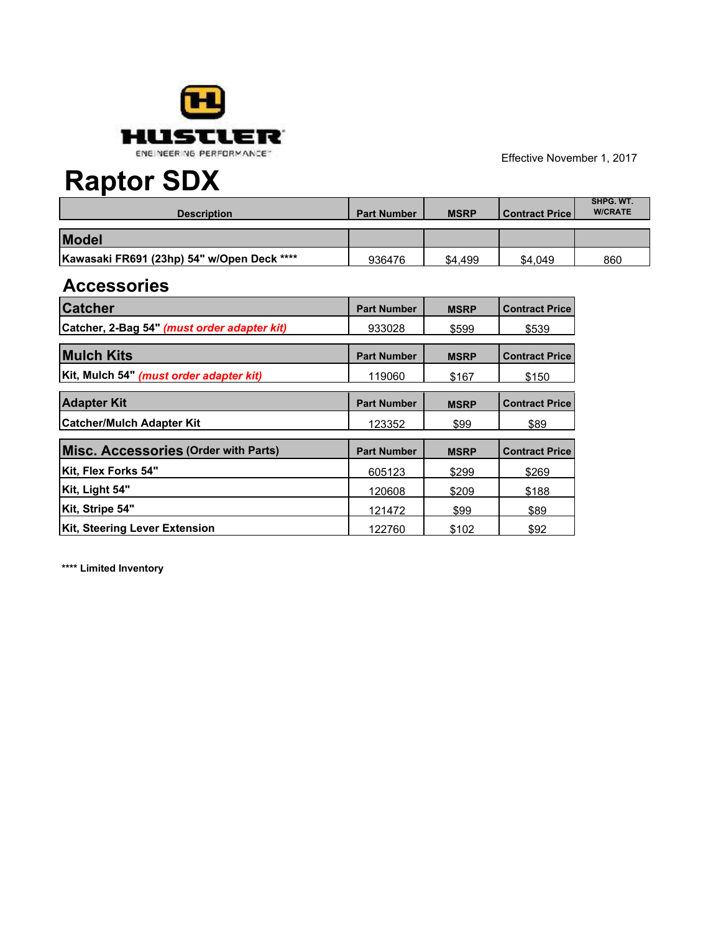

# **Raptor SDX**

| <b>Description</b>                         | <b>Part Number</b> | <b>MSRP</b> | Contract Price | SHPG, WT.<br><b>W/CRATE</b> |
|--------------------------------------------|--------------------|-------------|----------------|-----------------------------|
| <b>Model</b>                               |                    |             |                |                             |
| Kawasaki FR691 (23hp) 54" w/Open Deck **** | 936476             | \$4.499     | \$4.049        | 860                         |

#### **Accessories**

| <b>Catcher</b>                                 | <b>Part Number</b> | <b>MSRP</b> | <b>Contract Price</b> |
|------------------------------------------------|--------------------|-------------|-----------------------|
| Catcher, 2-Bag 54" (must order adapter kit)    | 933028             | \$599       | \$539                 |
| <b>Mulch Kits</b>                              | <b>Part Number</b> | <b>MSRP</b> | <b>Contract Price</b> |
| Kit, Mulch 54" <i>(must order adapter kit)</i> | 119060             | \$167       | \$150                 |
| <b>Adapter Kit</b>                             | <b>Part Number</b> | <b>MSRP</b> | <b>Contract Price</b> |
| <b>Catcher/Mulch Adapter Kit</b>               | 123352             | \$99        | \$89                  |
| <b>Misc. Accessories (Order with Parts)</b>    | <b>Part Number</b> | <b>MSRP</b> | <b>Contract Price</b> |
| Kit, Flex Forks 54"                            | 605123             | \$299       | \$269                 |
| Kit, Light 54"                                 | 120608             | \$209       | \$188                 |
| Kit, Stripe 54"                                | 121472             | \$99        | \$89                  |
| Kit, Steering Lever Extension                  | 122760             | \$102       | \$92                  |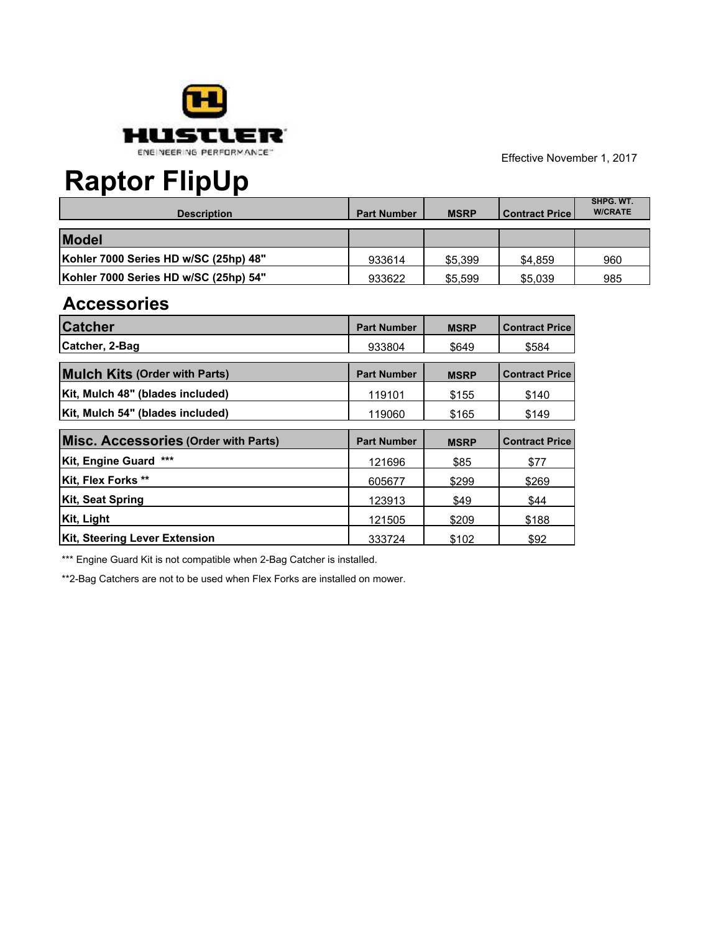

## **Raptor FlipUp**

| <b>Description</b>                    | <b>Part Number</b> | <b>MSRP</b> | Contract Price | SHPG. WT.<br><b>W/CRATE</b> |
|---------------------------------------|--------------------|-------------|----------------|-----------------------------|
| <b>Model</b>                          |                    |             |                |                             |
| Kohler 7000 Series HD w/SC (25hp) 48" | 933614             | \$5,399     | \$4.859        | 960                         |
| Kohler 7000 Series HD w/SC (25hp) 54" | 933622             | \$5,599     | \$5,039        | 985                         |

### **Accessories**

| <b>Catcher</b>                       | <b>Part Number</b> | <b>MSRP</b> | <b>Contract Price</b> |
|--------------------------------------|--------------------|-------------|-----------------------|
| Catcher, 2-Bag                       | 933804             | \$649       | \$584                 |
| <b>Mulch Kits (Order with Parts)</b> | <b>Part Number</b> | <b>MSRP</b> | <b>Contract Price</b> |
| Kit, Mulch 48" (blades included)     | 119101             | \$155       | \$140                 |
| Kit, Mulch 54" (blades included)     | 119060             | \$165       | \$149                 |
| Misc. Accessories (Order with Parts) | <b>Part Number</b> | <b>MSRP</b> | <b>Contract Price</b> |
| Kit, Engine Guard ***                | 121696             | \$85        | \$77                  |
| Kit, Flex Forks **                   | 605677             | \$299       | \$269                 |
| Kit, Seat Spring                     | 123913             | \$49        | \$44                  |
| Kit, Light                           | 121505             | \$209       | \$188                 |
| Kit, Steering Lever Extension        | 333724             | \$102       | \$92                  |

\*\*\* Engine Guard Kit is not compatible when 2-Bag Catcher is installed.

\*\*2-Bag Catchers are not to be used when Flex Forks are installed on mower.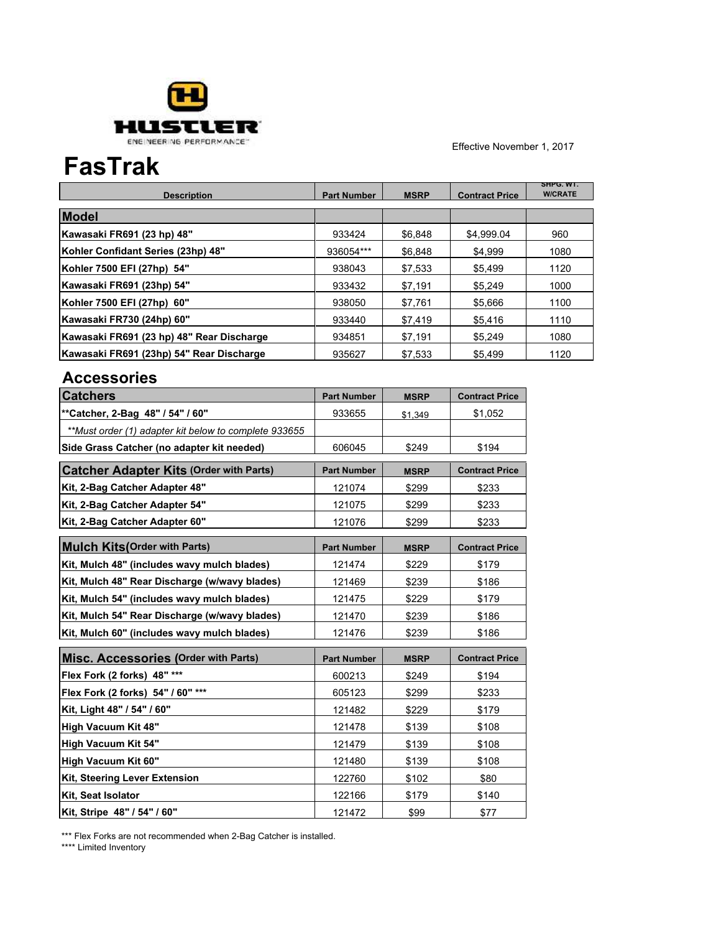

### **FasTrak**

| <b>Description</b>                        | <b>Part Number</b> | <b>MSRP</b> | <b>Contract Price</b> | SHPG. WT.<br><b>W/CRATE</b> |
|-------------------------------------------|--------------------|-------------|-----------------------|-----------------------------|
| <b>Model</b>                              |                    |             |                       |                             |
| Kawasaki FR691 (23 hp) 48"                | 933424             | \$6.848     | \$4.999.04            | 960                         |
| Kohler Confidant Series (23hp) 48"        | 936054***          | \$6.848     | \$4.999               | 1080                        |
| Kohler 7500 EFI (27hp) 54"                | 938043             | \$7,533     | \$5,499               | 1120                        |
| Kawasaki FR691 (23hp) 54"                 | 933432             | \$7.191     | \$5.249               | 1000                        |
| Kohler 7500 EFI (27hp) 60"                | 938050             | \$7.761     | \$5.666               | 1100                        |
| Kawasaki FR730 (24hp) 60"                 | 933440             | \$7,419     | \$5,416               | 1110                        |
| Kawasaki FR691 (23 hp) 48" Rear Discharge | 934851             | \$7.191     | \$5.249               | 1080                        |
| Kawasaki FR691 (23hp) 54" Rear Discharge  | 935627             | \$7,533     | \$5,499               | 1120                        |

#### **Accessories**

| <b>Catchers</b>                                       | <b>Part Number</b> | <b>MSRP</b> | <b>Contract Price</b> |
|-------------------------------------------------------|--------------------|-------------|-----------------------|
| **Catcher, 2-Bag 48" / 54" / 60"                      | 933655             | \$1,349     | \$1,052               |
| **Must order (1) adapter kit below to complete 933655 |                    |             |                       |
| Side Grass Catcher (no adapter kit needed)            | 606045             | \$249       | \$194                 |
| <b>Catcher Adapter Kits (Order with Parts)</b>        | <b>Part Number</b> | <b>MSRP</b> | <b>Contract Price</b> |
| Kit, 2-Bag Catcher Adapter 48"                        | 121074             | \$299       | \$233                 |
| Kit, 2-Bag Catcher Adapter 54"                        | 121075             | \$299       | \$233                 |
| Kit, 2-Bag Catcher Adapter 60"                        | 121076             | \$299       | \$233                 |
| <b>Mulch Kits (Order with Parts)</b>                  | <b>Part Number</b> | <b>MSRP</b> | <b>Contract Price</b> |
| Kit, Mulch 48" (includes wavy mulch blades)           | 121474             | \$229       | \$179                 |
| Kit, Mulch 48" Rear Discharge (w/wavy blades)         | 121469             | \$239       | \$186                 |
| Kit, Mulch 54" (includes wavy mulch blades)           | 121475             | \$229       | \$179                 |
| Kit, Mulch 54" Rear Discharge (w/wavy blades)         | 121470             | \$239       | \$186                 |
| Kit, Mulch 60" (includes wavy mulch blades)           | 121476             | \$239       | \$186                 |
| <b>Misc. Accessories (Order with Parts)</b>           | <b>Part Number</b> | <b>MSRP</b> | <b>Contract Price</b> |
| Flex Fork (2 forks) 48" ***                           | 600213             | \$249       | \$194                 |
| Flex Fork (2 forks) 54" / 60" ***                     | 605123             | \$299       | \$233                 |
| Kit, Light 48" / 54" / 60"                            | 121482             | \$229       | \$179                 |
| High Vacuum Kit 48"                                   | 121478             | \$139       | \$108                 |
| High Vacuum Kit 54"                                   | 121479             | \$139       | \$108                 |
| High Vacuum Kit 60"                                   | 121480             | \$139       | \$108                 |
| <b>Kit, Steering Lever Extension</b>                  | 122760             | \$102       | \$80                  |
| Kit, Seat Isolator                                    | 122166             | \$179       | \$140                 |
| Kit, Stripe 48" / 54" / 60"                           | 121472             | \$99        | \$77                  |

\*\*\* Flex Forks are not recommended when 2-Bag Catcher is installed.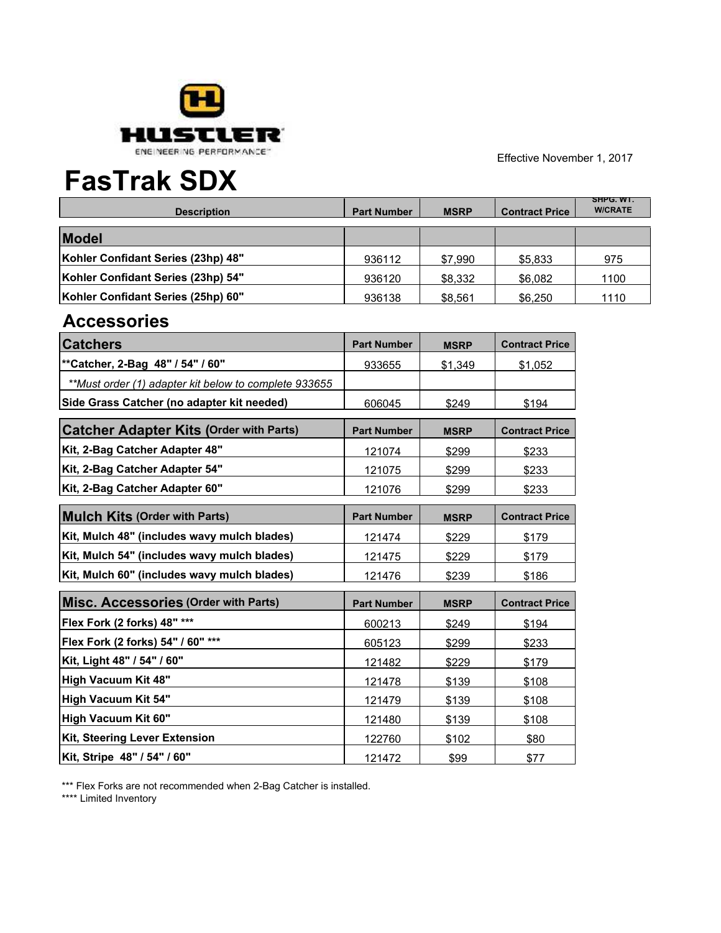

### **FasTrak SDX**

| <b>Description</b>                 | <b>Part Number</b> | <b>MSRP</b> | <b>Contract Price</b> | SHPG. WI.<br><b>W/CRATE</b> |
|------------------------------------|--------------------|-------------|-----------------------|-----------------------------|
| <b>Model</b>                       |                    |             |                       |                             |
| Kohler Confidant Series (23hp) 48" | 936112             | \$7.990     | \$5,833               | 975                         |
| Kohler Confidant Series (23hp) 54" | 936120             | \$8,332     | \$6,082               | 1100                        |
| Kohler Confidant Series (25hp) 60" | 936138             | \$8,561     | \$6,250               | 1110                        |

### **Accessories**

| <b>Catchers</b>                                       | <b>Part Number</b> | <b>MSRP</b> | <b>Contract Price</b> |
|-------------------------------------------------------|--------------------|-------------|-----------------------|
| ** Catcher, 2-Bag 48" / 54" / 60"                     | 933655             | \$1,349     | \$1,052               |
| **Must order (1) adapter kit below to complete 933655 |                    |             |                       |
| Side Grass Catcher (no adapter kit needed)            | 606045             | \$249       | \$194                 |
| <b>Catcher Adapter Kits (Order with Parts)</b>        | <b>Part Number</b> | <b>MSRP</b> | <b>Contract Price</b> |
| Kit, 2-Bag Catcher Adapter 48"                        | 121074             | \$299       | \$233                 |
| Kit, 2-Bag Catcher Adapter 54"                        | 121075             | \$299       | \$233                 |
| Kit, 2-Bag Catcher Adapter 60"                        | 121076             | \$299       | \$233                 |
| <b>Mulch Kits (Order with Parts)</b>                  | <b>Part Number</b> | <b>MSRP</b> | <b>Contract Price</b> |
| Kit, Mulch 48" (includes wavy mulch blades)           | 121474             | \$229       | \$179                 |
| Kit, Mulch 54" (includes wavy mulch blades)           | 121475             | \$229       | \$179                 |
| Kit, Mulch 60" (includes wavy mulch blades)           | 121476             | \$239       | \$186                 |
| <b>Misc. Accessories (Order with Parts)</b>           | <b>Part Number</b> | <b>MSRP</b> | <b>Contract Price</b> |
| Flex Fork (2 forks) 48" ***                           | 600213             | \$249       | \$194                 |
| Flex Fork (2 forks) 54" / 60" ***                     | 605123             | \$299       | \$233                 |
| Kit, Light 48" / 54" / 60"                            | 121482             | \$229       | \$179                 |
| High Vacuum Kit 48"                                   | 121478             | \$139       | \$108                 |
| High Vacuum Kit 54"                                   | 121479             | \$139       | \$108                 |
| High Vacuum Kit 60"                                   | 121480             | \$139       | \$108                 |
| Kit, Steering Lever Extension                         | 122760             | \$102       | \$80                  |
| Kit, Stripe 48" / 54" / 60"                           | 121472             | \$99        | \$77                  |

\*\*\* Flex Forks are not recommended when 2-Bag Catcher is installed.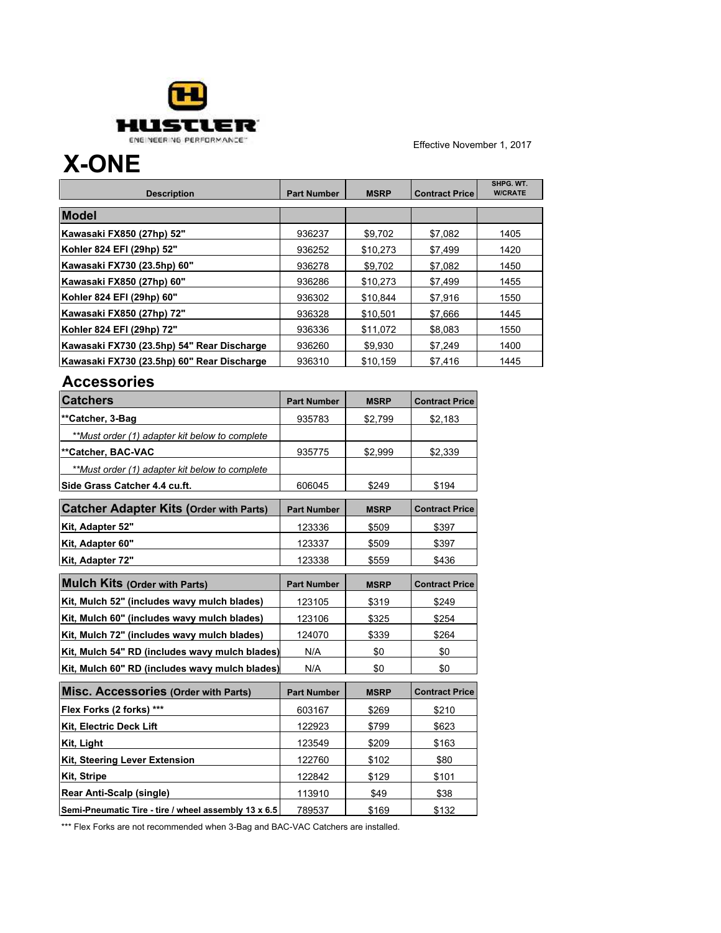

### **X-ONE**

| <b>Description</b>                         | <b>Part Number</b> | <b>MSRP</b> | <b>Contract Price</b> | SHPG, WT.<br><b>W/CRATE</b> |
|--------------------------------------------|--------------------|-------------|-----------------------|-----------------------------|
| <b>Model</b>                               |                    |             |                       |                             |
| Kawasaki FX850 (27hp) 52"                  | 936237             | \$9.702     | \$7,082               | 1405                        |
| Kohler 824 EFI (29hp) 52"                  | 936252             | \$10,273    | \$7,499               | 1420                        |
| Kawasaki FX730 (23.5hp) 60"                | 936278             | \$9,702     | \$7,082               | 1450                        |
| Kawasaki FX850 (27hp) 60"                  | 936286             | \$10.273    | \$7,499               | 1455                        |
| Kohler 824 EFI (29hp) 60"                  | 936302             | \$10,844    | \$7,916               | 1550                        |
| Kawasaki FX850 (27hp) 72"                  | 936328             | \$10.501    | \$7.666               | 1445                        |
| Kohler 824 EFI (29hp) 72"                  | 936336             | \$11.072    | \$8.083               | 1550                        |
| Kawasaki FX730 (23.5hp) 54" Rear Discharge | 936260             | \$9,930     | \$7,249               | 1400                        |
| Kawasaki FX730 (23.5hp) 60" Rear Discharge | 936310             | \$10,159    | \$7,416               | 1445                        |

#### **Accessories**

| <b>Catchers</b>                                      | <b>Part Number</b> | <b>MSRP</b> | <b>Contract Price</b> |
|------------------------------------------------------|--------------------|-------------|-----------------------|
| **Catcher, 3-Bag                                     | 935783             | \$2,799     | \$2,183               |
| **Must order (1) adapter kit below to complete       |                    |             |                       |
| **Catcher, BAC-VAC                                   | 935775             | \$2,999     | \$2,339               |
| **Must order (1) adapter kit below to complete       |                    |             |                       |
| Side Grass Catcher 4.4 cu.ft.                        | 606045             | \$249       | \$194                 |
| <b>Catcher Adapter Kits (Order with Parts)</b>       | <b>Part Number</b> | <b>MSRP</b> | <b>Contract Price</b> |
| Kit, Adapter 52"                                     | 123336             | \$509       | \$397                 |
| Kit, Adapter 60"                                     | 123337             | \$509       | \$397                 |
| Kit, Adapter 72"                                     | 123338             | \$559       | \$436                 |
| <b>Mulch Kits (Order with Parts)</b>                 | <b>Part Number</b> | <b>MSRP</b> | <b>Contract Price</b> |
| Kit, Mulch 52" (includes wavy mulch blades)          | 123105             | \$319       | \$249                 |
| Kit, Mulch 60" (includes wavy mulch blades)          | 123106             | \$325       | \$254                 |
| Kit, Mulch 72" (includes wavy mulch blades)          | 124070             | \$339       | \$264                 |
| Kit, Mulch 54" RD (includes wavy mulch blades)       | N/A                | \$0         | \$0                   |
| Kit, Mulch 60" RD (includes wavy mulch blades)       | N/A                | \$0         | \$0                   |
| <b>Misc. Accessories (Order with Parts)</b>          | <b>Part Number</b> | <b>MSRP</b> | <b>Contract Price</b> |
| Flex Forks (2 forks) ***                             | 603167             | \$269       | \$210                 |
| Kit, Electric Deck Lift                              | 122923             | \$799       | \$623                 |
| Kit, Light                                           | 123549             | \$209       | \$163                 |
| Kit, Steering Lever Extension                        | 122760             | \$102       | \$80                  |
| <b>Kit. Stripe</b>                                   | 122842             | \$129       | \$101                 |
| Rear Anti-Scalp (single)                             | 113910             | \$49        | \$38                  |
| Semi-Pneumatic Tire - tire / wheel assembly 13 x 6.5 | 789537             | \$169       | \$132                 |

\*\*\* Flex Forks are not recommended when 3-Bag and BAC-VAC Catchers are installed.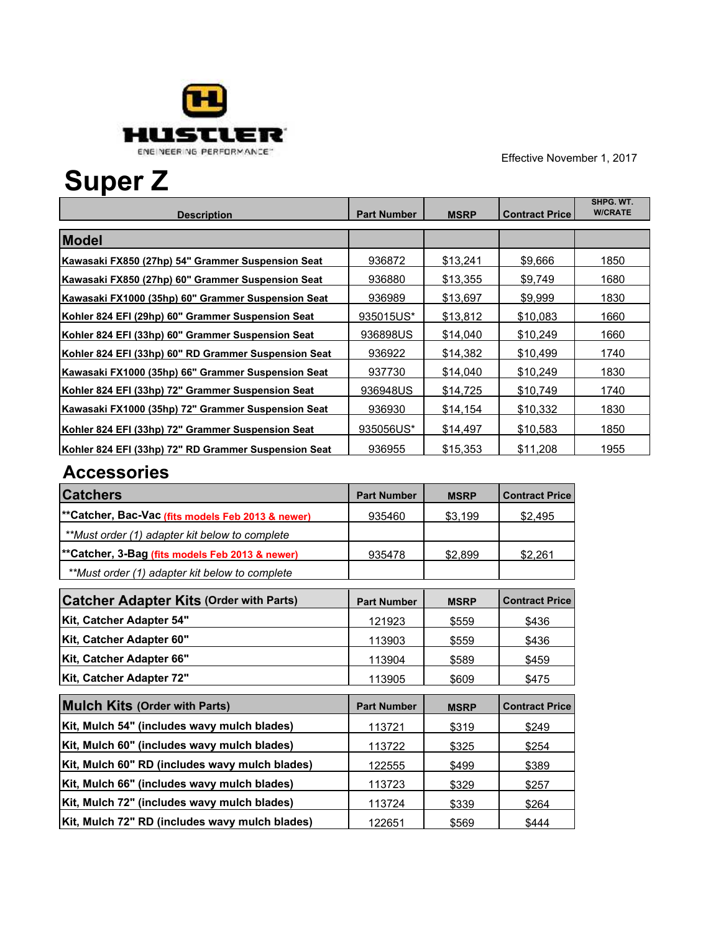

# **Super Z**

|                                                      |                    |             |                       | SHPG. WT.<br><b>W/CRATE</b> |
|------------------------------------------------------|--------------------|-------------|-----------------------|-----------------------------|
| <b>Description</b>                                   | <b>Part Number</b> | <b>MSRP</b> | <b>Contract Price</b> |                             |
| <b>Model</b>                                         |                    |             |                       |                             |
| Kawasaki FX850 (27hp) 54" Grammer Suspension Seat    | 936872             | \$13,241    | \$9,666               | 1850                        |
| Kawasaki FX850 (27hp) 60" Grammer Suspension Seat    | 936880             | \$13,355    | \$9.749               | 1680                        |
| Kawasaki FX1000 (35hp) 60" Grammer Suspension Seat   | 936989             | \$13,697    | \$9,999               | 1830                        |
| Kohler 824 EFI (29hp) 60" Grammer Suspension Seat    | 935015US*          | \$13,812    | \$10,083              | 1660                        |
| Kohler 824 EFI (33hp) 60" Grammer Suspension Seat    | 936898US           | \$14,040    | \$10,249              | 1660                        |
| Kohler 824 EFI (33hp) 60" RD Grammer Suspension Seat | 936922             | \$14,382    | \$10,499              | 1740                        |
| Kawasaki FX1000 (35hp) 66" Grammer Suspension Seat   | 937730             | \$14,040    | \$10,249              | 1830                        |
| Kohler 824 EFI (33hp) 72" Grammer Suspension Seat    | 936948US           | \$14,725    | \$10,749              | 1740                        |
| Kawasaki FX1000 (35hp) 72" Grammer Suspension Seat   | 936930             | \$14,154    | \$10.332              | 1830                        |
| Kohler 824 EFI (33hp) 72" Grammer Suspension Seat    | 935056US*          | \$14,497    | \$10,583              | 1850                        |
| Kohler 824 EFI (33hp) 72" RD Grammer Suspension Seat | 936955             | \$15,353    | \$11.208              | 1955                        |

| <b>Catchers</b>                                    | <b>Part Number</b> | <b>MSRP</b> | <b>Contract Price</b> |
|----------------------------------------------------|--------------------|-------------|-----------------------|
| ** Catcher, Bac-Vac (fits models Feb 2013 & newer) | 935460             | \$3,199     | \$2,495               |
| **Must order (1) adapter kit below to complete     |                    |             |                       |
| **Catcher, 3-Bag (fits models Feb 2013 & newer)    | 935478             | \$2,899     | \$2,261               |
| **Must order (1) adapter kit below to complete     |                    |             |                       |
| <b>Catcher Adapter Kits (Order with Parts)</b>     | <b>Part Number</b> | <b>MSRP</b> | <b>Contract Price</b> |
| Kit, Catcher Adapter 54"                           | 121923             | \$559       | \$436                 |
| Kit, Catcher Adapter 60"                           | 113903             | \$559       | \$436                 |
| Kit, Catcher Adapter 66"                           | 113904             | \$589       | \$459                 |
| Kit, Catcher Adapter 72"                           | 113905             | \$609       | \$475                 |
| <b>Mulch Kits (Order with Parts)</b>               | <b>Part Number</b> | <b>MSRP</b> | <b>Contract Price</b> |
| Kit, Mulch 54" (includes wavy mulch blades)        | 113721             | \$319       | \$249                 |
| Kit, Mulch 60" (includes wavy mulch blades)        | 113722             | \$325       | \$254                 |
| Kit, Mulch 60" RD (includes wavy mulch blades)     | 122555             | \$499       | \$389                 |
| Kit, Mulch 66" (includes wavy mulch blades)        | 113723             | \$329       | \$257                 |
| Kit, Mulch 72" (includes wavy mulch blades)        | 113724             | \$339       | \$264                 |
| Kit, Mulch 72" RD (includes wavy mulch blades)     | 122651             | \$569       | \$444                 |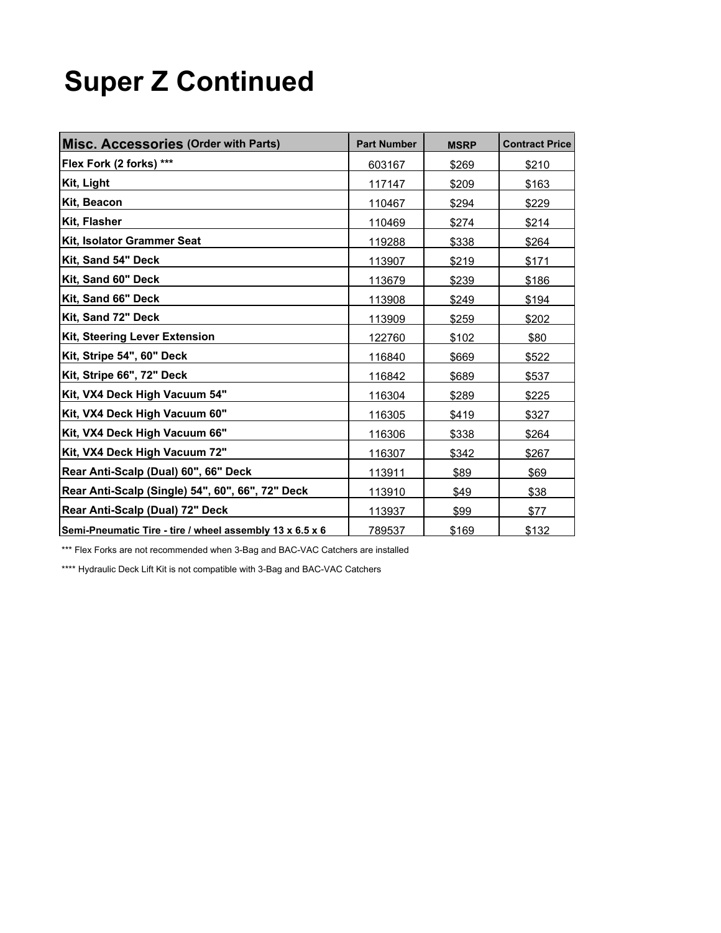## **Super Z Continued**

| Misc. Accessories (Order with Parts)                     | <b>Part Number</b> | <b>MSRP</b> | <b>Contract Price</b> |
|----------------------------------------------------------|--------------------|-------------|-----------------------|
| Flex Fork (2 forks) ***                                  | 603167             | \$269       | \$210                 |
| Kit, Light                                               | 117147             | \$209       | \$163                 |
| Kit, Beacon                                              | 110467             | \$294       | \$229                 |
| Kit, Flasher                                             | 110469             | \$274       | \$214                 |
| Kit, Isolator Grammer Seat                               | 119288             | \$338       | \$264                 |
| Kit, Sand 54" Deck                                       | 113907             | \$219       | \$171                 |
| Kit, Sand 60" Deck                                       | 113679             | \$239       | \$186                 |
| Kit, Sand 66" Deck                                       | 113908             | \$249       | \$194                 |
| Kit, Sand 72" Deck                                       | 113909             | \$259       | \$202                 |
| Kit, Steering Lever Extension                            | 122760             | \$102       | \$80                  |
| Kit, Stripe 54", 60" Deck                                | 116840             | \$669       | \$522                 |
| Kit, Stripe 66", 72" Deck                                | 116842             | \$689       | \$537                 |
| Kit, VX4 Deck High Vacuum 54"                            | 116304             | \$289       | \$225                 |
| Kit, VX4 Deck High Vacuum 60"                            | 116305             | \$419       | \$327                 |
| Kit, VX4 Deck High Vacuum 66"                            | 116306             | \$338       | \$264                 |
| Kit, VX4 Deck High Vacuum 72"                            | 116307             | \$342       | \$267                 |
| Rear Anti-Scalp (Dual) 60", 66" Deck                     | 113911             | \$89        | \$69                  |
| Rear Anti-Scalp (Single) 54", 60", 66", 72" Deck         | 113910             | \$49        | \$38                  |
| Rear Anti-Scalp (Dual) 72" Deck                          | 113937             | \$99        | \$77                  |
| Semi-Pneumatic Tire - tire / wheel assembly 13 x 6.5 x 6 | 789537             | \$169       | \$132                 |

\*\*\* Flex Forks are not recommended when 3-Bag and BAC-VAC Catchers are installed

\*\*\*\* Hydraulic Deck Lift Kit is not compatible with 3-Bag and BAC-VAC Catchers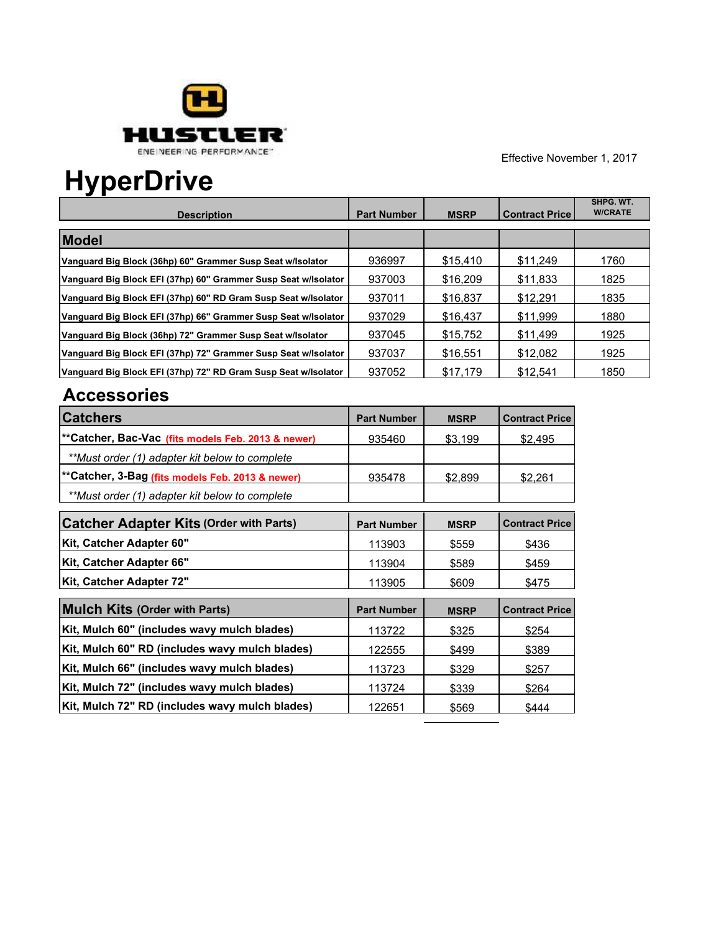

## **HyperDrive**

| <b>Description</b>                                             | <b>Part Number</b> | <b>MSRP</b> | <b>Contract Price</b> | SHPG. WT.<br><b>W/CRATE</b> |
|----------------------------------------------------------------|--------------------|-------------|-----------------------|-----------------------------|
| <b>Model</b>                                                   |                    |             |                       |                             |
| Vanguard Big Block (36hp) 60" Grammer Susp Seat w/lsolator     | 936997             | \$15.410    | \$11.249              | 1760                        |
| Vanguard Big Block EFI (37hp) 60" Grammer Susp Seat w/lsolator | 937003             | \$16,209    | \$11.833              | 1825                        |
| Vanguard Big Block EFI (37hp) 60" RD Gram Susp Seat w/lsolator | 937011             | \$16,837    | \$12.291              | 1835                        |
| Vanguard Big Block EFI (37hp) 66" Grammer Susp Seat w/lsolator | 937029             | \$16.437    | \$11.999              | 1880                        |
| Vanguard Big Block (36hp) 72" Grammer Susp Seat w/lsolator     | 937045             | \$15.752    | \$11.499              | 1925                        |
| Vanguard Big Block EFI (37hp) 72" Grammer Susp Seat w/lsolator | 937037             | \$16.551    | \$12.082              | 1925                        |
| Vanguard Big Block EFI (37hp) 72" RD Gram Susp Seat w/lsolator | 937052             | \$17.179    | \$12.541              | 1850                        |

| <b>Catchers</b>                                    | <b>Part Number</b> | <b>MSRP</b> | <b>Contract Price</b> |
|----------------------------------------------------|--------------------|-------------|-----------------------|
| **Catcher, Bac-Vac (fits models Feb. 2013 & newer) | 935460             | \$3,199     | \$2,495               |
| **Must order (1) adapter kit below to complete     |                    |             |                       |
| **Catcher, 3-Bag (fits models Feb. 2013 & newer)   | 935478             | \$2,899     | \$2,261               |
| **Must order (1) adapter kit below to complete     |                    |             |                       |
| <b>Catcher Adapter Kits (Order with Parts)</b>     | <b>Part Number</b> | <b>MSRP</b> | <b>Contract Price</b> |
| Kit, Catcher Adapter 60"                           | 113903             | \$559       | \$436                 |
| Kit, Catcher Adapter 66"                           | 113904             | \$589       | \$459                 |
| Kit, Catcher Adapter 72"                           | 113905             | \$609       | \$475                 |
| <b>Mulch Kits (Order with Parts)</b>               | <b>Part Number</b> | <b>MSRP</b> | <b>Contract Price</b> |
| Kit, Mulch 60" (includes wavy mulch blades)        | 113722             | \$325       | \$254                 |
| Kit, Mulch 60" RD (includes wavy mulch blades)     | 122555             | \$499       | \$389                 |
| Kit, Mulch 66" (includes wavy mulch blades)        | 113723             | \$329       | \$257                 |
| Kit, Mulch 72" (includes wavy mulch blades)        | 113724             | \$339       | \$264                 |
| Kit, Mulch 72" RD (includes wavy mulch blades)     | 122651             | \$569       | \$444                 |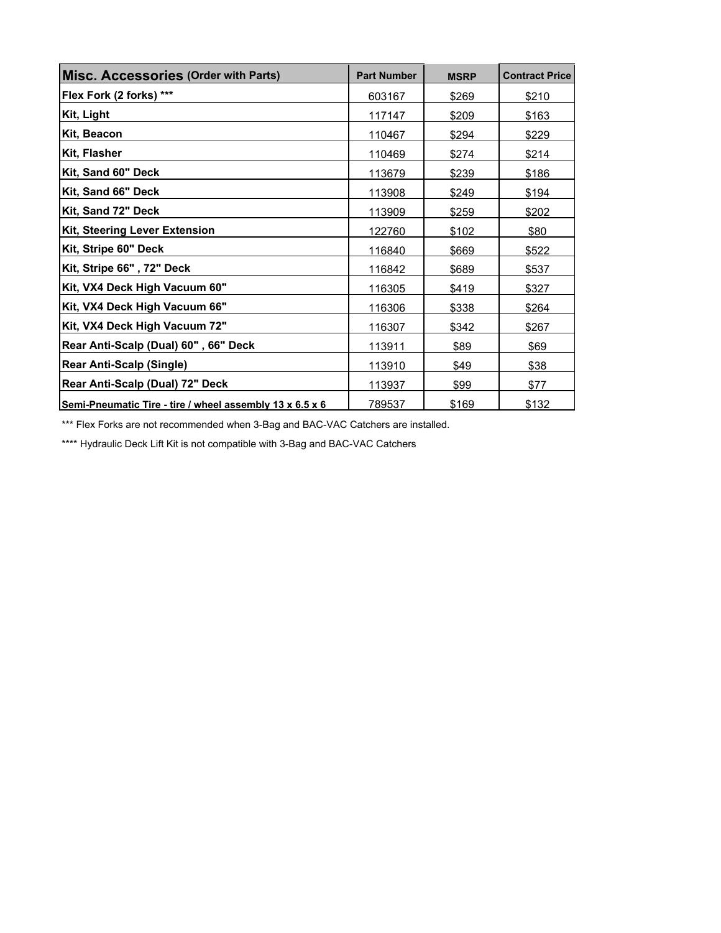| Misc. Accessories (Order with Parts)                     | <b>Part Number</b> | <b>MSRP</b> | <b>Contract Price</b> |
|----------------------------------------------------------|--------------------|-------------|-----------------------|
| Flex Fork (2 forks) ***                                  | 603167             | \$269       | \$210                 |
| Kit, Light                                               | 117147             | \$209       | \$163                 |
| Kit, Beacon                                              | 110467             | \$294       | \$229                 |
| Kit, Flasher                                             | 110469             | \$274       | \$214                 |
| Kit, Sand 60" Deck                                       | 113679             | \$239       | \$186                 |
| Kit, Sand 66" Deck                                       | 113908             | \$249       | \$194                 |
| Kit, Sand 72" Deck                                       | 113909             | \$259       | \$202                 |
| <b>Kit, Steering Lever Extension</b>                     | 122760             | \$102       | \$80                  |
| Kit, Stripe 60" Deck                                     | 116840             | \$669       | \$522                 |
| Kit, Stripe 66" , 72" Deck                               | 116842             | \$689       | \$537                 |
| Kit, VX4 Deck High Vacuum 60"                            | 116305             | \$419       | \$327                 |
| Kit, VX4 Deck High Vacuum 66"                            | 116306             | \$338       | \$264                 |
| Kit, VX4 Deck High Vacuum 72"                            | 116307             | \$342       | \$267                 |
| Rear Anti-Scalp (Dual) 60", 66" Deck                     | 113911             | \$89        | \$69                  |
| <b>Rear Anti-Scalp (Single)</b>                          | 113910             | \$49        | \$38                  |
| Rear Anti-Scalp (Dual) 72" Deck                          | 113937             | \$99        | \$77                  |
| Semi-Pneumatic Tire - tire / wheel assembly 13 x 6.5 x 6 | 789537             | \$169       | \$132                 |

\*\*\* Flex Forks are not recommended when 3-Bag and BAC-VAC Catchers are installed.

\*\*\*\* Hydraulic Deck Lift Kit is not compatible with 3-Bag and BAC-VAC Catchers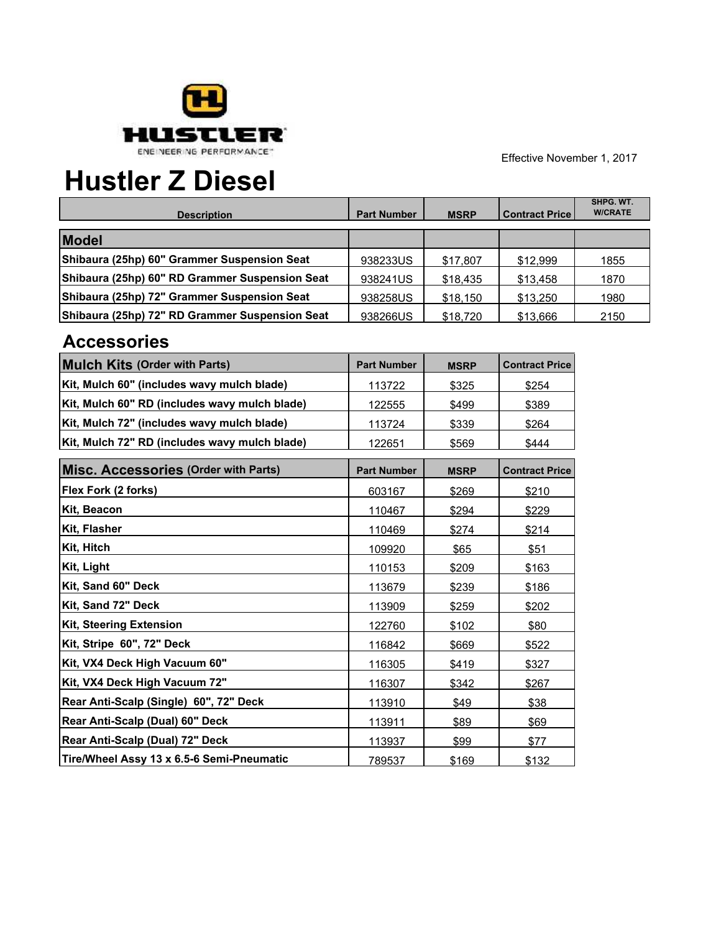

## **Hustler Z Diesel**

| <b>Description</b>                             | <b>Part Number</b> | <b>MSRP</b> | <b>Contract Price</b> | SHPG. WT.<br><b>W/CRATE</b> |
|------------------------------------------------|--------------------|-------------|-----------------------|-----------------------------|
| <b>Model</b>                                   |                    |             |                       |                             |
| Shibaura (25hp) 60" Grammer Suspension Seat    | 938233US           | \$17.807    | \$12.999              | 1855                        |
| Shibaura (25hp) 60" RD Grammer Suspension Seat | 938241US           | \$18,435    | \$13.458              | 1870                        |
| Shibaura (25hp) 72" Grammer Suspension Seat    | 938258US           | \$18,150    | \$13,250              | 1980                        |
| Shibaura (25hp) 72" RD Grammer Suspension Seat | 938266US           | \$18,720    | \$13.666              | 2150                        |

| <b>Mulch Kits (Order with Parts)</b>          | <b>Part Number</b> | <b>MSRP</b> | <b>Contract Price</b> |
|-----------------------------------------------|--------------------|-------------|-----------------------|
| Kit, Mulch 60" (includes wavy mulch blade)    | 113722             | \$325       | \$254                 |
| Kit, Mulch 60" RD (includes wavy mulch blade) | 122555             | \$499       | \$389                 |
| Kit, Mulch 72" (includes wavy mulch blade)    | 113724             | \$339       | \$264                 |
| Kit, Mulch 72" RD (includes wavy mulch blade) | 122651             | \$569       | \$444                 |
| <b>Misc. Accessories (Order with Parts)</b>   | <b>Part Number</b> | <b>MSRP</b> | <b>Contract Price</b> |
| Flex Fork (2 forks)                           | 603167             | \$269       | \$210                 |
| Kit, Beacon                                   | 110467             | \$294       | \$229                 |
| Kit, Flasher                                  | 110469             | \$274       | \$214                 |
| Kit, Hitch                                    | 109920             | \$65        | \$51                  |
| Kit, Light                                    | 110153             | \$209       | \$163                 |
| Kit, Sand 60" Deck                            | 113679             | \$239       | \$186                 |
| Kit, Sand 72" Deck                            | 113909             | \$259       | \$202                 |
| <b>Kit, Steering Extension</b>                | 122760             | \$102       | \$80                  |
| Kit, Stripe 60", 72" Deck                     | 116842             | \$669       | \$522                 |
| Kit, VX4 Deck High Vacuum 60"                 | 116305             | \$419       | \$327                 |
| Kit, VX4 Deck High Vacuum 72"                 | 116307             | \$342       | \$267                 |
| Rear Anti-Scalp (Single) 60", 72" Deck        | 113910             | \$49        | \$38                  |
| Rear Anti-Scalp (Dual) 60" Deck               | 113911             | \$89        | \$69                  |
| Rear Anti-Scalp (Dual) 72" Deck               | 113937             | \$99        | \$77                  |
| Tire/Wheel Assy 13 x 6.5-6 Semi-Pneumatic     | 789537             | \$169       | \$132                 |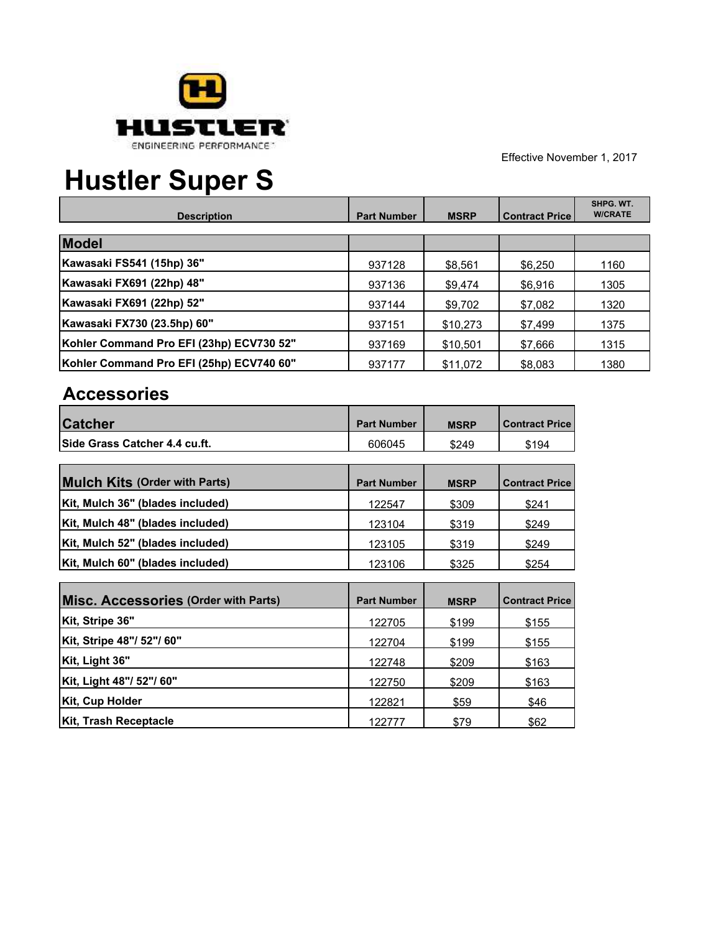

┑

┰

# **Hustler Super S**

| <b>Description</b>                       | <b>Part Number</b> | <b>MSRP</b> | <b>Contract Price</b> | SHPG, WT.<br><b>W/CRATE</b> |
|------------------------------------------|--------------------|-------------|-----------------------|-----------------------------|
| Model                                    |                    |             |                       |                             |
| Kawasaki FS541 (15hp) 36"                | 937128             | \$8,561     | \$6,250               | 1160                        |
| Kawasaki FX691 (22hp) 48"                | 937136             | \$9,474     | \$6,916               | 1305                        |
| Kawasaki FX691 (22hp) 52"                | 937144             | \$9,702     | \$7,082               | 1320                        |
| Kawasaki FX730 (23.5hp) 60"              | 937151             | \$10,273    | \$7,499               | 1375                        |
| Kohler Command Pro EFI (23hp) ECV730 52" | 937169             | \$10,501    | \$7,666               | 1315                        |
| Kohler Command Pro EFI (25hp) ECV740 60" | 937177             | \$11.072    | \$8,083               | 1380                        |

| <b>Catcher</b>                       | <b>Part Number</b> | <b>MSRP</b> | <b>Contract Price</b> |
|--------------------------------------|--------------------|-------------|-----------------------|
| Side Grass Catcher 4.4 cu.ft.        | 606045             | \$249       | \$194                 |
| <b>Mulch Kits (Order with Parts)</b> | <b>Part Number</b> | <b>MSRP</b> | <b>Contract Price</b> |
| Kit, Mulch 36" (blades included)     | 122547             | \$309       | \$241                 |
| Kit, Mulch 48" (blades included)     | 123104             | \$319       | \$249                 |
| Kit, Mulch 52" (blades included)     | 123105             | \$319       | \$249                 |
| Kit, Mulch 60" (blades included)     | 123106             | \$325       | \$254                 |

| Misc. Accessories (Order with Parts) | <b>Part Number</b> | <b>MSRP</b> | <b>Contract Price</b> |
|--------------------------------------|--------------------|-------------|-----------------------|
| Kit, Stripe 36"                      | 122705             | \$199       | \$155                 |
| Kit, Stripe 48"/ 52"/ 60"            | 122704             | \$199       | \$155                 |
| Kit, Light 36"                       | 122748             | \$209       | \$163                 |
| Kit, Light 48"/ 52"/ 60"             | 122750             | \$209       | \$163                 |
| Kit, Cup Holder                      | 122821             | \$59        | \$46                  |
| <b>Kit, Trash Receptacle</b>         | 122777             | \$79        | \$62                  |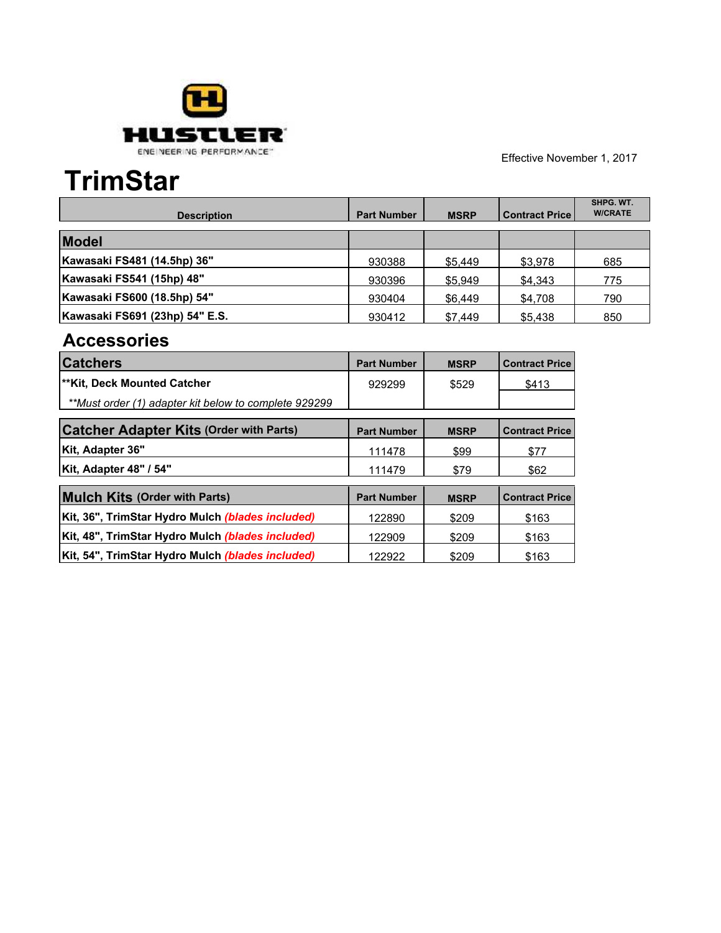

## **TrimStar**

| <b>Description</b>             | <b>Part Number</b> | <b>MSRP</b> | Contract Price | SHPG. WT.<br><b>W/CRATE</b> |
|--------------------------------|--------------------|-------------|----------------|-----------------------------|
| <b>Model</b>                   |                    |             |                |                             |
| Kawasaki FS481 (14.5hp) 36"    | 930388             | \$5,449     | \$3,978        | 685                         |
| Kawasaki FS541 (15hp) 48"      | 930396             | \$5,949     | \$4.343        | 775                         |
| Kawasaki FS600 (18.5hp) 54"    | 930404             | \$6,449     | \$4,708        | 790                         |
| Kawasaki FS691 (23hp) 54" E.S. | 930412             | \$7.449     | \$5,438        | 850                         |

| <b>Catchers</b>                                         | <b>Part Number</b> | <b>MSRP</b> | <b>Contract Price</b> |
|---------------------------------------------------------|--------------------|-------------|-----------------------|
| l**Kit, Deck Mounted Catcher                            | 929299             | \$529       | \$413                 |
| **Must order (1) adapter kit below to complete 929299   |                    |             |                       |
| <b>Catcher Adapter Kits (Order with Parts)</b>          | <b>Part Number</b> | <b>MSRP</b> | <b>Contract Price</b> |
| Kit, Adapter 36"                                        | 111478             | \$99        | \$77                  |
| Kit, Adapter 48" / 54"                                  | 111479             | \$79        | \$62                  |
| <b>Mulch Kits (Order with Parts)</b>                    | <b>Part Number</b> | <b>MSRP</b> | <b>Contract Price</b> |
| Kit, 36", TrimStar Hydro Mulch (blades included)        | 122890             | \$209       | \$163                 |
| Kit, 48", TrimStar Hydro Mulch (blades included)        | 122909             | \$209       | \$163                 |
| Kit, 54", TrimStar Hydro Mulch <i>(blades included)</i> | 122922             | \$209       | \$163                 |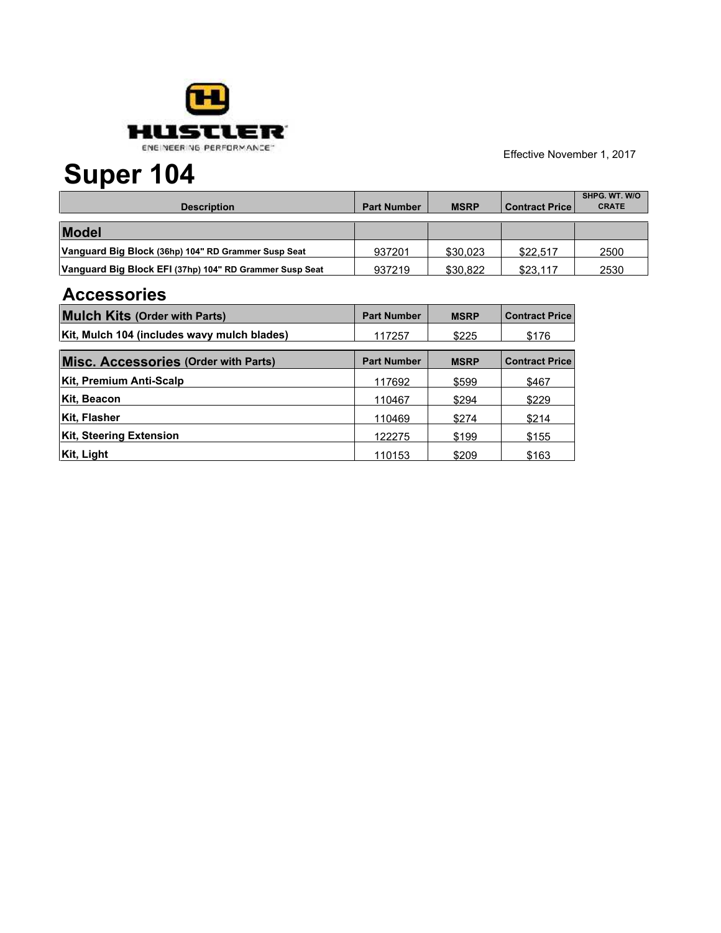

## **Super 104**

| <b>Description</b>                                      | <b>Part Number</b> | <b>MSRP</b> | l Contract Price l | <b>SHPG. WT. W/O</b><br><b>CRATE</b> |
|---------------------------------------------------------|--------------------|-------------|--------------------|--------------------------------------|
| <b>Model</b>                                            |                    |             |                    |                                      |
| Vanguard Big Block (36hp) 104" RD Grammer Susp Seat     | 937201             | \$30.023    | \$22.517           | 2500                                 |
| Vanguard Big Block EFI (37hp) 104" RD Grammer Susp Seat | 937219             | \$30.822    | \$23.117           | 2530                                 |

| <b>Mulch Kits (Order with Parts)</b>        | <b>Part Number</b> | <b>MSRP</b> | <b>Contract Price</b> |
|---------------------------------------------|--------------------|-------------|-----------------------|
| Kit, Mulch 104 (includes wavy mulch blades) | 117257             | \$225       | \$176                 |
| Misc. Accessories (Order with Parts)        | <b>Part Number</b> | <b>MSRP</b> | <b>Contract Price</b> |
| Kit, Premium Anti-Scalp                     | 117692             | \$599       | \$467                 |
| Kit, Beacon                                 | 110467             | \$294       | \$229                 |
| Kit, Flasher                                | 110469             | \$274       | \$214                 |
| <b>Kit, Steering Extension</b>              | 122275             | \$199       | \$155                 |
| Kit, Light                                  | 110153             | \$209       | \$163                 |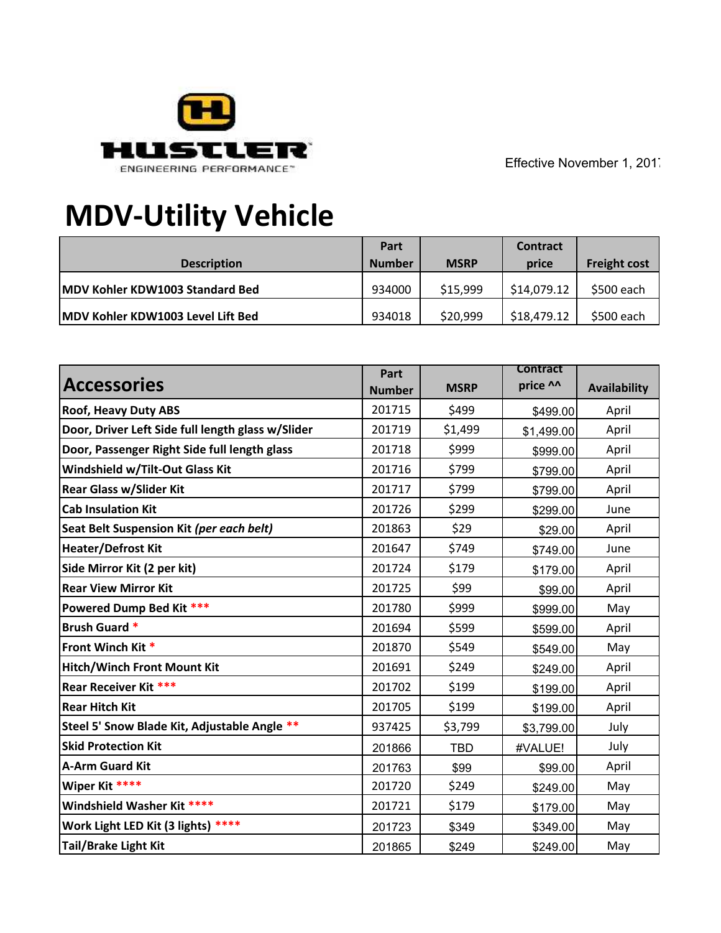

# **MDV-Utility Vehicle**

|                                         | Part          |             | <b>Contract</b> |                     |
|-----------------------------------------|---------------|-------------|-----------------|---------------------|
| <b>Description</b>                      | <b>Number</b> | <b>MSRP</b> | price           | <b>Freight cost</b> |
| <b>IMDV Kohler KDW1003 Standard Bed</b> | 934000        | \$15,999    | \$14,079.12     | \$500 each          |
| MDV Kohler KDW1003 Level Lift Bed       | 934018        | \$20,999    | \$18,479.12     | \$500 each          |

|                                                   | Part          |             | <b>Contract</b> |                     |
|---------------------------------------------------|---------------|-------------|-----------------|---------------------|
| <b>Accessories</b>                                | <b>Number</b> | <b>MSRP</b> | price ^^        | <b>Availability</b> |
| <b>Roof, Heavy Duty ABS</b>                       | 201715        | \$499       | \$499.00        | April               |
| Door, Driver Left Side full length glass w/Slider | 201719        | \$1,499     | \$1,499.00      | April               |
| Door, Passenger Right Side full length glass      | 201718        | \$999       | \$999.00        | April               |
| Windshield w/Tilt-Out Glass Kit                   | 201716        | \$799       | \$799.00        | April               |
| <b>Rear Glass w/Slider Kit</b>                    | 201717        | \$799       | \$799.00        | April               |
| <b>Cab Insulation Kit</b>                         | 201726        | \$299       | \$299.00        | June                |
| Seat Belt Suspension Kit (per each belt)          | 201863        | \$29        | \$29.00         | April               |
| <b>Heater/Defrost Kit</b>                         | 201647        | \$749       | \$749.00        | June                |
| Side Mirror Kit (2 per kit)                       | 201724        | \$179       | \$179.00        | April               |
| <b>Rear View Mirror Kit</b>                       | 201725        | \$99        | \$99.00         | April               |
| Powered Dump Bed Kit ***                          | 201780        | \$999       | \$999.00        | May                 |
| <b>Brush Guard *</b>                              | 201694        | \$599       | \$599.00        | April               |
| Front Winch Kit *                                 | 201870        | \$549       | \$549.00        | May                 |
| <b>Hitch/Winch Front Mount Kit</b>                | 201691        | \$249       | \$249.00        | April               |
| <b>Rear Receiver Kit ***</b>                      | 201702        | \$199       | \$199.00        | April               |
| <b>Rear Hitch Kit</b>                             | 201705        | \$199       | \$199.00        | April               |
| Steel 5' Snow Blade Kit, Adjustable Angle **      | 937425        | \$3,799     | \$3,799.00      | July                |
| <b>Skid Protection Kit</b>                        | 201866        | <b>TBD</b>  | #VALUE!         | July                |
| <b>A-Arm Guard Kit</b>                            | 201763        | \$99        | \$99.00         | April               |
| Wiper Kit ****                                    | 201720        | \$249       | \$249.00        | May                 |
| Windshield Washer Kit ****                        | 201721        | \$179       | \$179.00        | May                 |
| Work Light LED Kit (3 lights) ****                | 201723        | \$349       | \$349.00        | May                 |
| <b>Tail/Brake Light Kit</b>                       | 201865        | \$249       | \$249.00        | May                 |